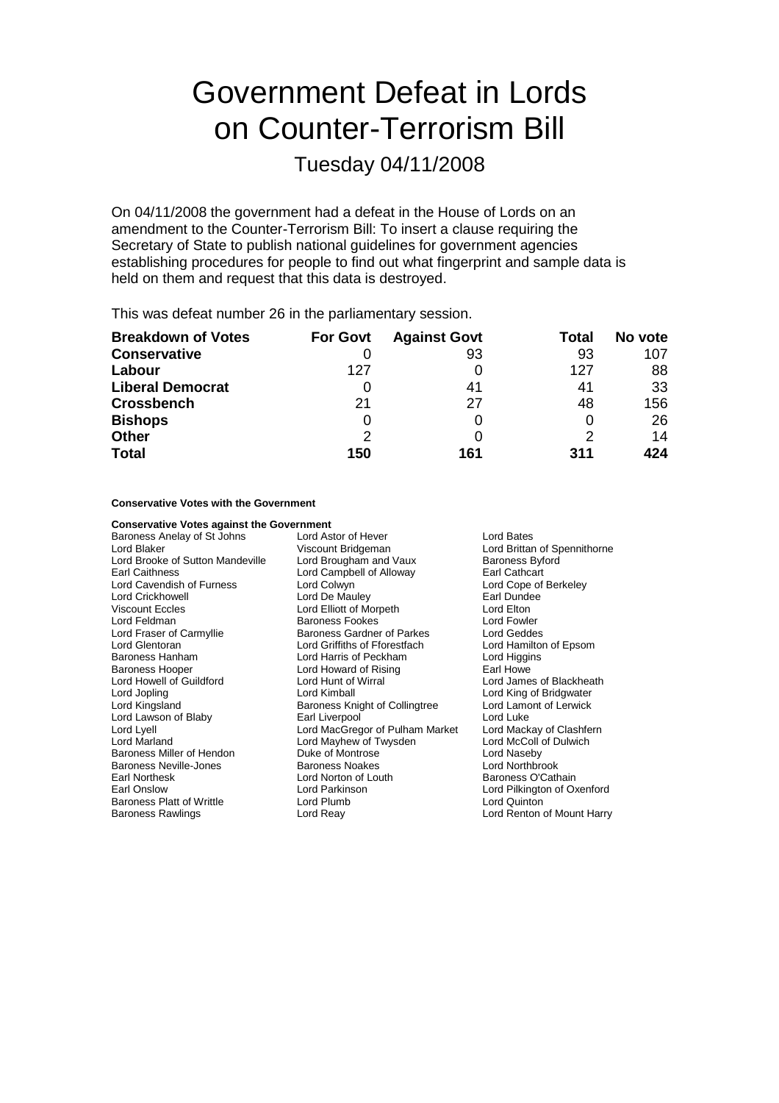## Government Defeat in Lords on Counter-Terrorism Bill

Tuesday 04/11/2008

On 04/11/2008 the government had a defeat in the House of Lords on an amendment to the Counter-Terrorism Bill: To insert a clause requiring the Secretary of State to publish national guidelines for government agencies establishing procedures for people to find out what fingerprint and sample data is held on them and request that this data is destroyed.

This was defeat number 26 in the parliamentary session.

| <b>Breakdown of Votes</b> | <b>For Govt</b> | <b>Against Govt</b> | Total | No vote |
|---------------------------|-----------------|---------------------|-------|---------|
| <b>Conservative</b>       |                 | 93                  | 93    | 107     |
| Labour                    | 127             |                     | 127   | 88      |
| <b>Liberal Democrat</b>   |                 | 41                  | 41    | -33     |
| <b>Crossbench</b>         | 21              | 27                  | 48    | 156     |
| <b>Bishops</b>            | O               |                     |       | 26      |
| <b>Other</b>              | 2               |                     |       | 14      |
| <b>Total</b>              | 150             | 161                 | 311   | 424     |

**Conservative Votes with the Government**

**Conservative Votes against the Government**<br>Baroness Anelay of St Johns Lord Astor of Hever Baroness Anelay of St Johns Lord Astor of Hever The Lord Bates<br>
Lord Blaker Cord Brittar Viscount Bridgeman<br>
Lord Brittar Lord Brittan of Spennithorne<br>Baroness Byford Lord Brooke of Sutton Mandeville Lord Brougham and Vaux Earl Caithness<br>
Lord Campbell of Alloway Farl Cathcart<br>
Lord Colwyn Care Lord Color Lord Cope of Berkeley Lord Cavendish of Furness Lord Colwyn Lord Cope of Lord Cope of Lord Cope of Lord Cope of Lord Cope of Lord Cope of Lord Cope of Lord Cope of Lord Cope of Lord Cope of Lord Cope of Lord Cope of Lord Cope of Lord Cope of Lo Lord De Mauley Viscount Eccles Lord Elliott of Morpeth Lord Elton Lord Feldman **Baroness Fookes** Lord Fowler Cord Fowler<br>
Lord Fraser of Carmyllie **Baroness Gardner of Parkes** Lord Geddes Lord Fraser of Carmyllie Baroness Gardner of Parkes<br>
Lord Glentoran Lord Griffiths of Fforestfach Lord Griffiths of Fforestfach Lord Hamilton of Epsom Baroness Hanham Lord Harris of Peckham Lord Higgins Baroness Hooper **Lord Howard of Rising** Earl Howe<br>
Lord Howard of Guildford **Lord Hunt of Wirral Lord Howe**<br>
Lord Howard Cord Hunt of Wirral Lord James of Blackheath Lord Jopling Lord Kimball Lord King of Bridgwater Lord Kingsland Baroness Knight of Collingtree Lord Lamont of Lerwick Lord Lawson of Blaby **Earl Liverpool** Early Lord Luke<br>
Lord Luke Lord Luke<br>
Lord Lyell end MacGregor of Pulham Market Lord Mackay of Clashfern Lord MacGregor of Pulham Market Lord Marland **Lord Mayhew of Twysden** Lord McColl of Dulwich<br>
Baroness Miller of Hendon **Lord Duke of Montrose** Lord Naseby Baroness Miller of Hendon **Duke of Montrose** Communist Cord Naseby<br> **Baroness Neville-Jones** Corporation Baroness Noakes Corporation Cord Northbrook Baroness Neville-Jones Earl Northesk Lord Norton of Louth Baroness O'Cathain Earl Onslow Lord Parkinson Lord Pilkington of Oxenford Baroness Platt of Writtle Lord Plumb Lord Quinton Lord Renton of Mount Harry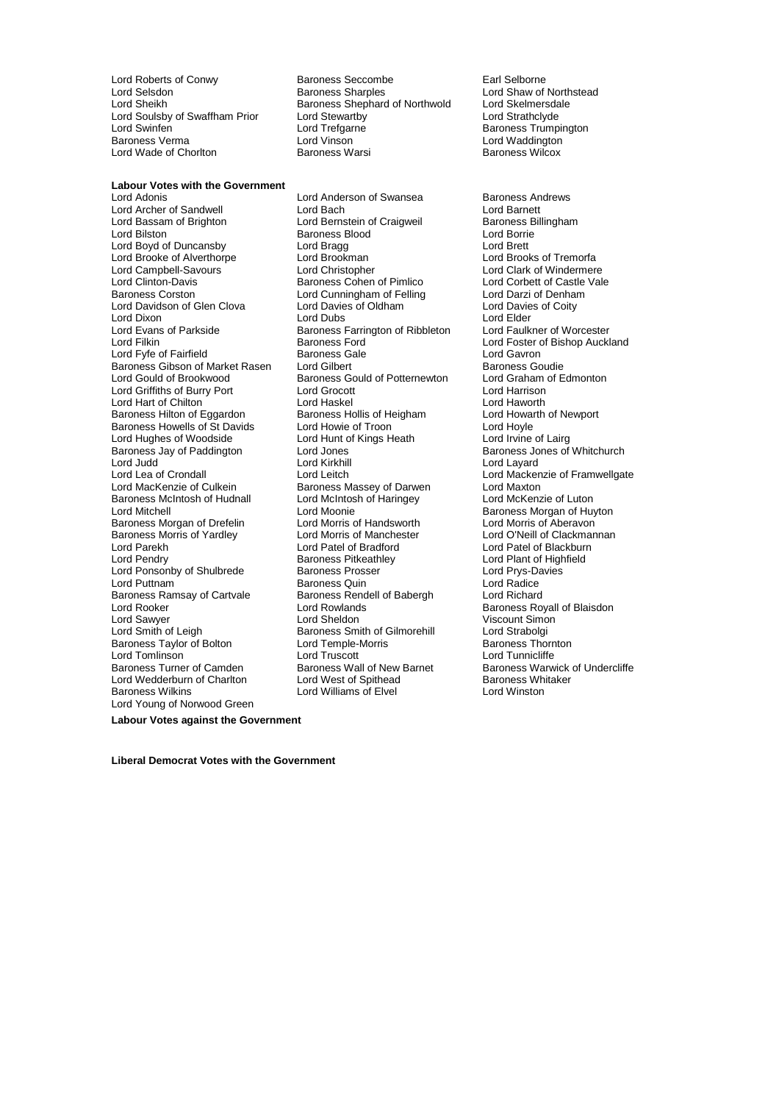Lord Wade of Chorlton

Lord Roberts of Conwy **Baroness Seccombe** Earl Selborne<br>
Lord Selsdon **Baroness Sharples** Earl Selborne Earl Selborne Lord Selsdon **Examples**<br>
Lord Shaw of Northstead<br>
Lord Sheikh Baroness Shephard of Northwold Lord Skelmersdale Baroness Shephard of Northwold Lord Soulsby of Swaffham Prior Lord Stewartby **Lord Strathclyde**<br>
Lord Swinfen **Lord Trefoarne** Lord Trefoarne **Baroness Trump** Lord Swinfen Lord Trefgarne Baroness Trumpington Lord Vinson<br>Baroness Warsi **Lord Waddington**<br>Baroness Warsi **Baroness Wilcox** 

**Labour Votes with the Government** Lord Adonis Lord Anderson of Swansea Baroness Andrews Lord Archer of Sandwell Lord Bach Lord Barnett Lord Bilston Baroness Blood Lord Borrie Lord Boyd of Duncansby Lord Bragg Lord Brett Lord Brooke of Alverthorpe Lord Brookman Lord Brooks of Tremorfa Lord Campbell-Savours<br>
Lord Clinton-Davis<br>
Baroness Cohen of Pimlico Lord Clinton-Davis **Baroness Cohen of Pimlico** Lord Corbett of Castle Vale<br>
Baroness Corston Lord Cunningham of Felling Lord Darzi of Denham Lord Davidson of Glen Clova Lord Dixon Lord Dubs Lord Elder Lord Evans of Parkside **Baroness Farrington of Ribbleton** Lord Faulkner of Worcester<br>Lord Filkin Lord Foster of Bishop Auckl Lord Fyfe of Fairfield **Baroness Gale** Calle Lord Gavron<br>Baroness Gibson of Market Rasen Lord Gilbert **Callet Container Baroness Goudie** Baroness Gibson of Market Rasen Lord Gilbert Baroness Goudie<br>
Lord Gould of Brookwood Baroness Gould of Potternewton Lord Graham of Edmonton Lord Griffiths of Burry Port Lord Grocott Lord Harrison Lord Hart of Chilton **Lord Haskel Lord Haskel Lord Haskel** Baroness Hollis of Heigham Baroness Hilton of Eggardon Baroness Hollis of Heigham Lord Howarth of Newport<br>Baroness Howells of St Davids Lord Howie of Troon Lord Hoyle Lord Hoyle Baroness Howells of St Davids Lord Howie of Troon Troon Lord Hoyle<br>Lord Hughes of Woodside Lord Hunt of Kings Heath Lord Irvine of Lairg Lord Hughes of Woodside<br>Baroness Jay of Paddington Lord Judd Lord Kirkhill Lord Layard Lord Lea of Crondall **Lord Lea Conduct Lord Leitch** Lord Lord Mackenzie of Framwellgate<br>
Lord MacKenzie of Culkein **Baroness Massev of Darwen** Lord Maxton Baroness McIntosh of Hudnall Lord McIntosh of Haringey<br>
Lord Mitchell<br>
Lord Moonie Baroness Morgan of Drefelin Lord Morris of Handsworth Lord Morris of Aberavon Baroness Morris of Yardley Lord Parekh Lord Patel of Bradford Lord Patel of Blackburn Lord Ponsonby of Shulbrede Baroness Prosser Controller and Prys-David Ponsonby of Shulbrede Baroness Prosser Lord Prys-David Prys-David Prys-David Prys-David Prys-David Prys-David Prys-David Prys-David Prys-David Prys-Davi Lord Puttnam<br>
Baroness Ramsay of Cartvale Baroness Rendell of Babergh Lord Richard<br>
Baroness Remsay of Cartvale Baroness Rendell of Babergh Lord Richard Baroness Ramsay of Cartvale Baroness Rendell Carty Rendell Baroness Rendell Cord Rowlands Lord Sawyer Lord Sheldon Viscount Simon Lord Smith of Leigh **Baroness Smith of Gilmorehill** Lord Strabolgi<br>Baroness Taylor of Bolton **Baroness Lord Temple-Morris** Baroness Thornton Baroness Taylor of Bolton Lord Temple-Morris **Baroness Thornton Coronal Coronal Coronal Coronal Coronal Coronal**<br>Coronal Lord Truscott Lord Truscott Lord Tunnicliffe Lord Tomlinson **Lord Truscott** Lord Truscott Lord Tunnicliffe<br>
Baroness Turner of Camden **Baroness Wall of New Barnet** Baroness Warwick of Undercliffe Lord Wedderburn of Charlton Baroness Wilkins Lord Williams of Elvel Lord Winston Lord Young of Norwood Green

Lord Bernstein of Craigweil Lord Cunningham of Felling Lord Darzi of Denhar<br>
Lord Davies of Oldham Lord Davies of Coitv Baroness Ford <sup>T</sup><br>
Baroness Gale<br>
Lord Gavron<br>
Lord Gavron Baroness Gould of Potternewton Lord Graham Cord Graham Lord Graham of Edmonton Baroness Cord Harrison Lord Jones **Baroness Jones of Whitchurch** Baroness Massey of Darwen<br>
Lord McKenzie of Luton<br>
Lord McKenzie of Luton Lord Moonie **Baroness Morgan of Huyton**<br>
Lord Morris of Handsworth **Baroness Morgan of Aberavon** Baroness Pitkeathley **Lord Plant of Highfield**<br> **Baroness Prosser Lord Prvs-Davies** Lord Rowlands **Baroness Royall of Blaisdon**<br>
Lord Sheldon **Baroness Royall of Blaisdon** Baroness Wall of New Barnet Baroness Warwick<br>
Lord West of Spithead Baroness Whitaker

**Labour Votes against the Government**

**Liberal Democrat Votes with the Government**